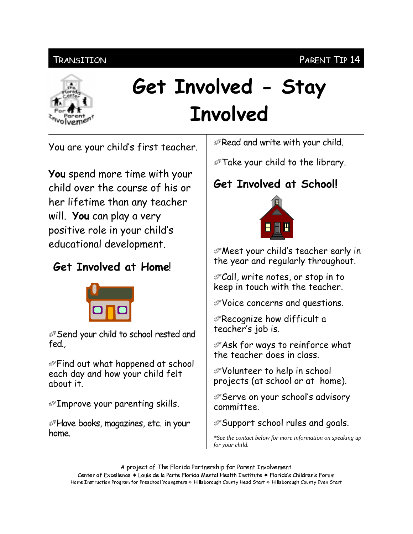## **TRANSITION**



# Get Involved - Stay **Involved**

You are your child's first teacher.

**You** spend more time with your child over the course of his or her lifetime than any teacher will. You can play a very positive role in your child's educational development.

## **Get Involved at Home!**



**Send your child to school rested and** fed.

*Sectify* Find out what happened at school each day and how your child felt about it.

 $\mathcal{D}$ Improve your parenting skills.

Alave books, magazines, etc. in your home.

 $\mathcal{D}$ Read and write with your child.

Take your child to the library.

# Get Involved at School!



**Ø Meet your child's teacher early in** the year and regularly throughout.

@Call, write notes, or stop in to keep in touch with the teacher.

*ØVoice concerns and questions.* 

 $\mathcal{O}$ Recognize how difficult a teacher's job is.

**ØAsk for ways to reinforce what** the teacher does in class.

*i* Volunteer to help in school⊗ projects (at school or at home).

*©* Serve on your school's advisory committee.

**Support school rules and goals.** 

\*See the contact below for more information on speaking up for your child.

A project of The Florida Partnership for Parent Involvement Center of Excellence ♦ Louis de la Parte Florida Mental Health Institute ♦ Florida's Children's Forum Home Instruction Program for Preschool Youngsters & Hillsborough County Head Start & Hillsborough County Even Start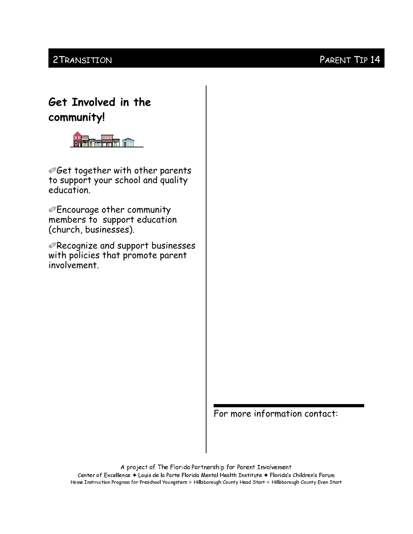### 2 TRANSITION

## Get Involved in the community!



@Get together with other parents to support your school and quality education.

*©***Encourage other community** members to support education (church, businesses).

*@Recognize and support businesses* with policies that promote parent involvement.

For more information contact:

A project of The Florida Partnership for Parent Involvement Center of Excellence + Louis de la Parte Florida Mental Health Institute + Florida's Children's Forum Home Instruction Program for Preschool Youngsters & Hillsborough County Head Start & Hillsborough County Even Start

### PARENT TIP 14